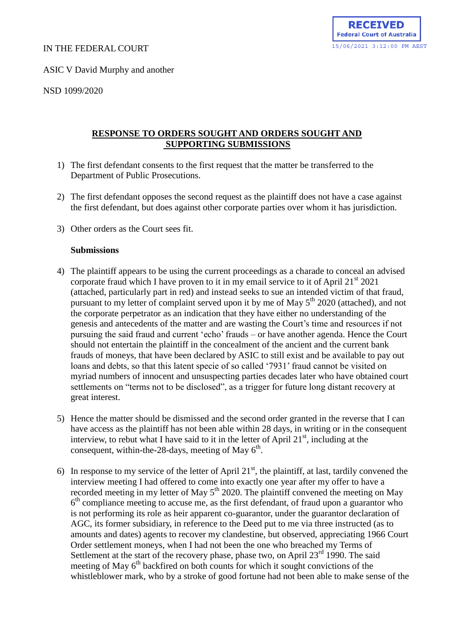### IN THE FEDERAL COURT

ASIC V David Murphy and another

NSD 1099/2020

## **RESPONSE TO ORDERS SOUGHT AND ORDERS SOUGHT AND SUPPORTING SUBMISSIONS**

- 1) The first defendant consents to the first request that the matter be transferred to the Department of Public Prosecutions.
- 2) The first defendant opposes the second request as the plaintiff does not have a case against the first defendant, but does against other corporate parties over whom it has jurisdiction.
- 3) Other orders as the Court sees fit.

#### **Submissions**

- 4) The plaintiff appears to be using the current proceedings as a charade to conceal an advised corporate fraud which I have proven to it in my email service to it of April  $21<sup>st</sup> 2021$ (attached, particularly part in red) and instead seeks to sue an intended victim of that fraud, pursuant to my letter of complaint served upon it by me of May  $5<sup>th</sup> 2020$  (attached), and not the corporate perpetrator as an indication that they have either no understanding of the genesis and antecedents of the matter and are wasting the Court's time and resources if not pursuing the said fraud and current 'echo' frauds – or have another agenda. Hence the Court should not entertain the plaintiff in the concealment of the ancient and the current bank frauds of moneys, that have been declared by ASIC to still exist and be available to pay out loans and debts, so that this latent specie of so called '7931' fraud cannot be visited on myriad numbers of innocent and unsuspecting parties decades later who have obtained court settlements on "terms not to be disclosed", as a trigger for future long distant recovery at great interest.
- 5) Hence the matter should be dismissed and the second order granted in the reverse that I can have access as the plaintiff has not been able within 28 days, in writing or in the consequent interview, to rebut what I have said to it in the letter of April  $21<sup>st</sup>$ , including at the consequent, within-the-28-days, meeting of May  $6<sup>th</sup>$ .
- 6) In response to my service of the letter of April  $21<sup>st</sup>$ , the plaintiff, at last, tardily convened the interview meeting I had offered to come into exactly one year after my offer to have a recorded meeting in my letter of May  $5<sup>th</sup>$  2020. The plaintiff convened the meeting on May 6<sup>th</sup> compliance meeting to accuse me, as the first defendant, of fraud upon a guarantor who is not performing its role as heir apparent co-guarantor, under the guarantor declaration of AGC, its former subsidiary, in reference to the Deed put to me via three instructed (as to amounts and dates) agents to recover my clandestine, but observed, appreciating 1966 Court Order settlement moneys, when I had not been the one who breached my Terms of Settlement at the start of the recovery phase, phase two, on April  $23<sup>rd</sup> 1990$ . The said meeting of May  $6<sup>th</sup>$  backfired on both counts for which it sought convictions of the whistleblower mark, who by a stroke of good fortune had not been able to make sense of the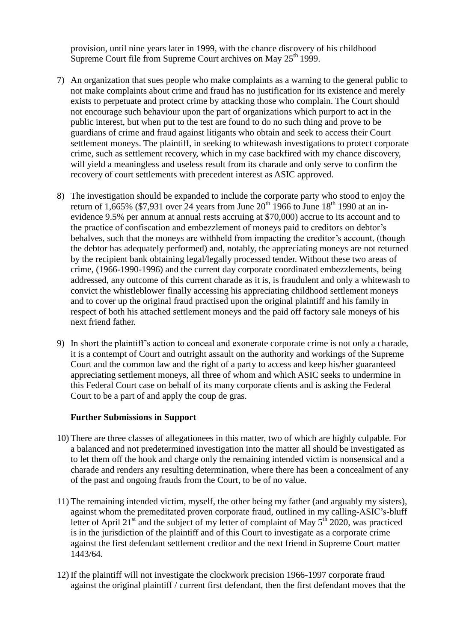provision, until nine years later in 1999, with the chance discovery of his childhood Supreme Court file from Supreme Court archives on May  $25<sup>th</sup> 1999$ .

- 7) An organization that sues people who make complaints as a warning to the general public to not make complaints about crime and fraud has no justification for its existence and merely exists to perpetuate and protect crime by attacking those who complain. The Court should not encourage such behaviour upon the part of organizations which purport to act in the public interest, but when put to the test are found to do no such thing and prove to be guardians of crime and fraud against litigants who obtain and seek to access their Court settlement moneys. The plaintiff, in seeking to whitewash investigations to protect corporate crime, such as settlement recovery, which in my case backfired with my chance discovery, will yield a meaningless and useless result from its charade and only serve to confirm the recovery of court settlements with precedent interest as ASIC approved.
- 8) The investigation should be expanded to include the corporate party who stood to enjoy the return of 1,665% (\$7,931 over 24 years from June  $20^{th}$  1966 to June  $18^{th}$  1990 at an inevidence 9.5% per annum at annual rests accruing at \$70,000) accrue to its account and to the practice of confiscation and embezzlement of moneys paid to creditors on debtor's behalves, such that the moneys are withheld from impacting the creditor's account, (though the debtor has adequately performed) and, notably, the appreciating moneys are not returned by the recipient bank obtaining legal/legally processed tender. Without these two areas of crime, (1966-1990-1996) and the current day corporate coordinated embezzlements, being addressed, any outcome of this current charade as it is, is fraudulent and only a whitewash to convict the whistleblower finally accessing his appreciating childhood settlement moneys and to cover up the original fraud practised upon the original plaintiff and his family in respect of both his attached settlement moneys and the paid off factory sale moneys of his next friend father.
- 9) In short the plaintiff's action to conceal and exonerate corporate crime is not only a charade, it is a contempt of Court and outright assault on the authority and workings of the Supreme Court and the common law and the right of a party to access and keep his/her guaranteed appreciating settlement moneys, all three of whom and which ASIC seeks to undermine in this Federal Court case on behalf of its many corporate clients and is asking the Federal Court to be a part of and apply the coup de gras.

#### **Further Submissions in Support**

- 10) There are three classes of allegationees in this matter, two of which are highly culpable. For a balanced and not predetermined investigation into the matter all should be investigated as to let them off the hook and charge only the remaining intended victim is nonsensical and a charade and renders any resulting determination, where there has been a concealment of any of the past and ongoing frauds from the Court, to be of no value.
- 11) The remaining intended victim, myself, the other being my father (and arguably my sisters), against whom the premeditated proven corporate fraud, outlined in my calling-ASIC's-bluff letter of April 21<sup>st</sup> and the subject of my letter of complaint of May  $5^{th}$  2020, was practiced is in the jurisdiction of the plaintiff and of this Court to investigate as a corporate crime against the first defendant settlement creditor and the next friend in Supreme Court matter 1443/64.
- 12) If the plaintiff will not investigate the clockwork precision 1966-1997 corporate fraud against the original plaintiff / current first defendant, then the first defendant moves that the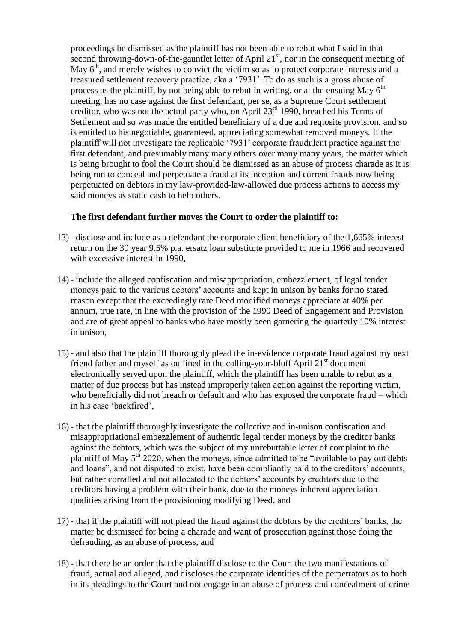proceedings be dismissed as the plaintiff has not been able to rebut what I said in that second throwing-down-of-the-gauntlet letter of April  $21<sup>st</sup>$ , nor in the consequent meeting of May  $6<sup>th</sup>$ , and merely wishes to convict the victim so as to protect corporate interests and a treasured settlement recovery practice, aka a '7931'. To do as such is a gross abuse of process as the plaintiff, by not being able to rebut in writing, or at the ensuing May  $6<sup>th</sup>$ meeting, has no case against the first defendant, per se, as a Supreme Court settlement creditor, who was not the actual party who, on April  $23<sup>rd</sup> 1990$ , breached his Terms of Settlement and so was made the entitled beneficiary of a due and reqiosite provision, and so is entitled to his negotiable, guaranteed, appreciating somewhat removed moneys. If the plaintiff will not investigate the replicable '7931' corporate fraudulent practice against the first defendant, and presumably many many others over many many years, the matter which is being brought to fool the Court should be dismissed as an abuse of process charade as it is being run to conceal and perpetuate a fraud at its inception and current frauds now being perpetuated on debtors in my law-provided-law-allowed due process actions to access my said moneys as static cash to help others.

# **The first defendant further moves the Court to order the plaintiff to:**

- 13) disclose and include as a defendant the corporate client beneficiary of the 1,665% interest return on the 30 year 9.5% p.a. ersatz loan substitute provided to me in 1966 and recovered with excessive interest in 1990,
- 14) include the alleged confiscation and misappropriation, embezzlement, of legal tender moneys paid to the various debtors' accounts and kept in unison by banks for no stated reason except that the exceedingly rare Deed modified moneys appreciate at 40% per annum, true rate, in line with the provision of the 1990 Deed of Engagement and Provision and are of great appeal to banks who have mostly been garnering the quarterly 10% interest in unison,
- 15) and also that the plaintiff thoroughly plead the in-evidence corporate fraud against my next friend father and myself as outlined in the calling-your-bluff April  $21<sup>st</sup>$  document electronically served upon the plaintiff, which the plaintiff has been unable to rebut as a matter of due process but has instead improperly taken action against the reporting victim, who beneficially did not breach or default and who has exposed the corporate fraud – which in his case 'backfired',
- 16) that the plaintiff thoroughly investigate the collective and in-unison confiscation and misappropriational embezzlement of authentic legal tender moneys by the creditor banks against the debtors, which was the subject of my unrebuttable letter of complaint to the plaintiff of May  $5<sup>th</sup>$  2020, when the moneys, since admitted to be "available to pay out debts and loans", and not disputed to exist, have been compliantly paid to the creditors' accounts, but rather corralled and not allocated to the debtors' accounts by creditors due to the creditors having a problem with their bank, due to the moneys inherent appreciation qualities arising from the provisioning modifying Deed, and
- 17) that if the plaintiff will not plead the fraud against the debtors by the creditors' banks, the matter be dismissed for being a charade and want of prosecution against those doing the defrauding, as an abuse of process, and
- 18) that there be an order that the plaintiff disclose to the Court the two manifestations of fraud, actual and alleged, and discloses the corporate identities of the perpetrators as to both in its pleadings to the Court and not engage in an abuse of process and concealment of crime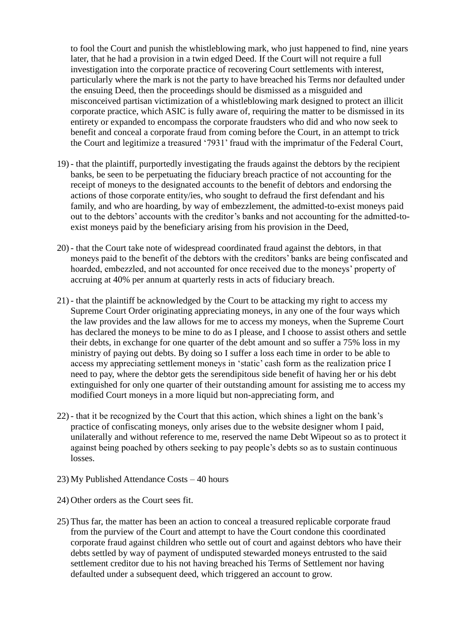to fool the Court and punish the whistleblowing mark, who just happened to find, nine years later, that he had a provision in a twin edged Deed. If the Court will not require a full investigation into the corporate practice of recovering Court settlements with interest, particularly where the mark is not the party to have breached his Terms nor defaulted under the ensuing Deed, then the proceedings should be dismissed as a misguided and misconceived partisan victimization of a whistleblowing mark designed to protect an illicit corporate practice, which ASIC is fully aware of, requiring the matter to be dismissed in its entirety or expanded to encompass the corporate fraudsters who did and who now seek to benefit and conceal a corporate fraud from coming before the Court, in an attempt to trick the Court and legitimize a treasured '7931' fraud with the imprimatur of the Federal Court,

- 19) that the plaintiff, purportedly investigating the frauds against the debtors by the recipient banks, be seen to be perpetuating the fiduciary breach practice of not accounting for the receipt of moneys to the designated accounts to the benefit of debtors and endorsing the actions of those corporate entity/ies, who sought to defraud the first defendant and his family, and who are hoarding, by way of embezzlement, the admitted-to-exist moneys paid out to the debtors' accounts with the creditor's banks and not accounting for the admitted-toexist moneys paid by the beneficiary arising from his provision in the Deed,
- 20) that the Court take note of widespread coordinated fraud against the debtors, in that moneys paid to the benefit of the debtors with the creditors' banks are being confiscated and hoarded, embezzled, and not accounted for once received due to the moneys' property of accruing at 40% per annum at quarterly rests in acts of fiduciary breach.
- 21) that the plaintiff be acknowledged by the Court to be attacking my right to access my Supreme Court Order originating appreciating moneys, in any one of the four ways which the law provides and the law allows for me to access my moneys, when the Supreme Court has declared the moneys to be mine to do as I please, and I choose to assist others and settle their debts, in exchange for one quarter of the debt amount and so suffer a 75% loss in my ministry of paying out debts. By doing so I suffer a loss each time in order to be able to access my appreciating settlement moneys in 'static' cash form as the realization price I need to pay, where the debtor gets the serendipitous side benefit of having her or his debt extinguished for only one quarter of their outstanding amount for assisting me to access my modified Court moneys in a more liquid but non-appreciating form, and
- 22) that it be recognized by the Court that this action, which shines a light on the bank's practice of confiscating moneys, only arises due to the website designer whom I paid, unilaterally and without reference to me, reserved the name Debt Wipeout so as to protect it against being poached by others seeking to pay people's debts so as to sustain continuous losses.
- 23) My Published Attendance Costs 40 hours
- 24) Other orders as the Court sees fit.
- 25) Thus far, the matter has been an action to conceal a treasured replicable corporate fraud from the purview of the Court and attempt to have the Court condone this coordinated corporate fraud against children who settle out of court and against debtors who have their debts settled by way of payment of undisputed stewarded moneys entrusted to the said settlement creditor due to his not having breached his Terms of Settlement nor having defaulted under a subsequent deed, which triggered an account to grow.